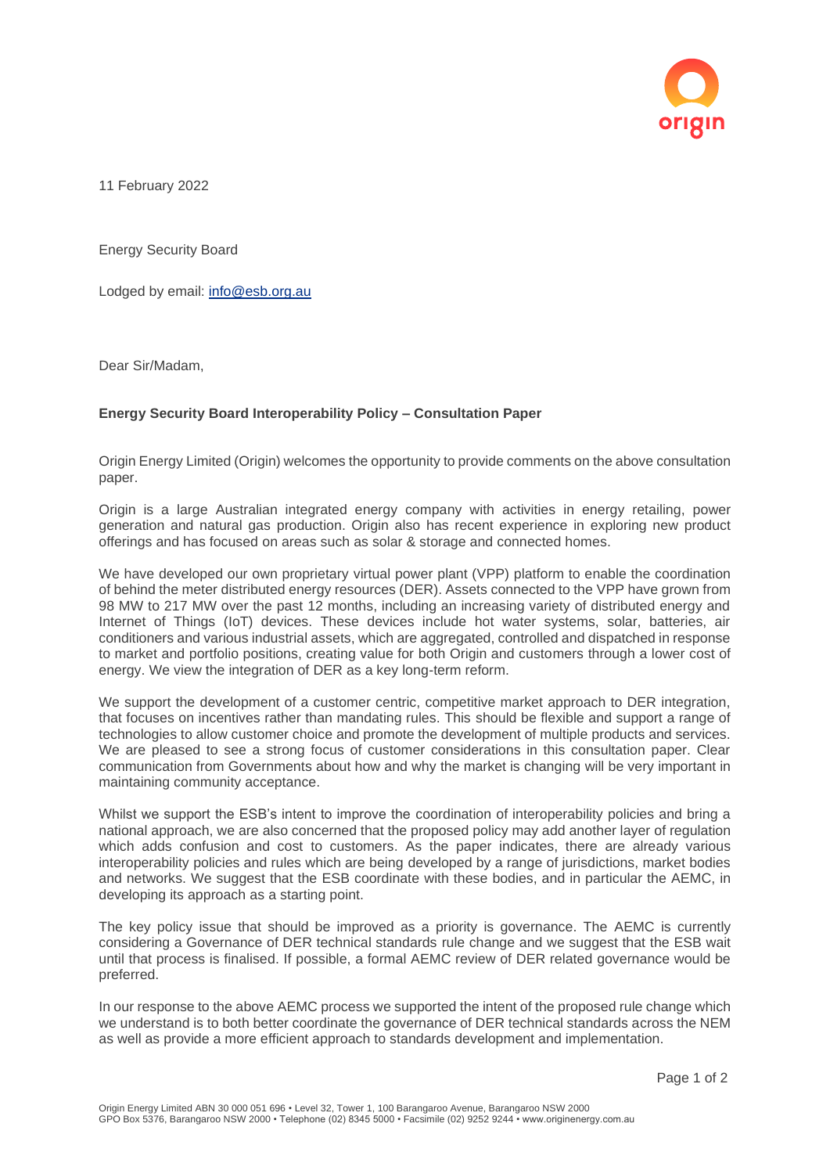

11 February 2022

Energy Security Board

Lodged by email: [info@esb.org.au](mailto:info@esb.org.au)

Dear Sir/Madam,

## **Energy Security Board Interoperability Policy – Consultation Paper**

Origin Energy Limited (Origin) welcomes the opportunity to provide comments on the above consultation paper.

Origin is a large Australian integrated energy company with activities in energy retailing, power generation and natural gas production. Origin also has recent experience in exploring new product offerings and has focused on areas such as solar & storage and connected homes.

We have developed our own proprietary virtual power plant (VPP) platform to enable the coordination of behind the meter distributed energy resources (DER). Assets connected to the VPP have grown from 98 MW to 217 MW over the past 12 months, including an increasing variety of distributed energy and Internet of Things (IoT) devices. These devices include hot water systems, solar, batteries, air conditioners and various industrial assets, which are aggregated, controlled and dispatched in response to market and portfolio positions, creating value for both Origin and customers through a lower cost of energy. We view the integration of DER as a key long-term reform.

We support the development of a customer centric, competitive market approach to DER integration, that focuses on incentives rather than mandating rules. This should be flexible and support a range of technologies to allow customer choice and promote the development of multiple products and services. We are pleased to see a strong focus of customer considerations in this consultation paper. Clear communication from Governments about how and why the market is changing will be very important in maintaining community acceptance.

Whilst we support the ESB's intent to improve the coordination of interoperability policies and bring a national approach, we are also concerned that the proposed policy may add another layer of regulation which adds confusion and cost to customers. As the paper indicates, there are already various interoperability policies and rules which are being developed by a range of jurisdictions, market bodies and networks. We suggest that the ESB coordinate with these bodies, and in particular the AEMC, in developing its approach as a starting point.

The key policy issue that should be improved as a priority is governance. The AEMC is currently considering a Governance of DER technical standards rule change and we suggest that the ESB wait until that process is finalised. If possible, a formal AEMC review of DER related governance would be preferred.

In our response to the above AEMC process we supported the intent of the proposed rule change which we understand is to both better coordinate the governance of DER technical standards across the NEM as well as provide a more efficient approach to standards development and implementation.